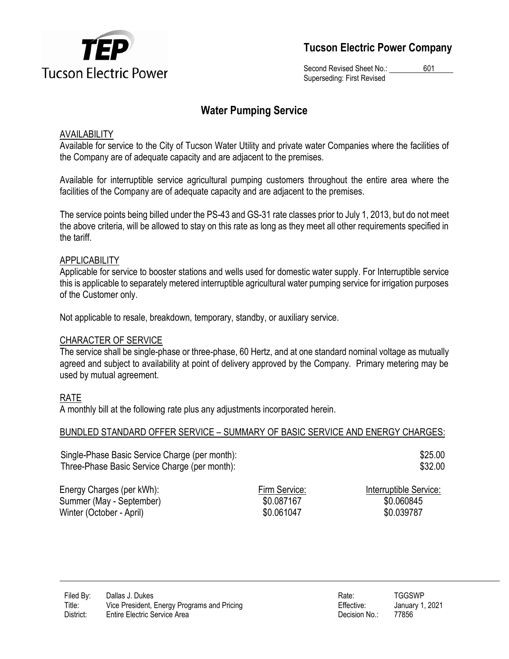

**Tucson Electric Power Company**

Second Revised Sheet No.: 601 Superseding: First Revised

# **Water Pumping Service**

### AVAILABILITY

Available for service to the City of Tucson Water Utility and private water Companies where the facilities of the Company are of adequate capacity and are adjacent to the premises.

Available for interruptible service agricultural pumping customers throughout the entire area where the facilities of the Company are of adequate capacity and are adjacent to the premises.

The service points being billed under the PS-43 and GS-31 rate classes prior to July 1, 2013, but do not meet the above criteria, will be allowed to stay on this rate as long as they meet all other requirements specified in the tariff.

### APPLICABILITY

Applicable for service to booster stations and wells used for domestic water supply. For Interruptible service this is applicable to separately metered interruptible agricultural water pumping service for irrigation purposes of the Customer only.

Not applicable to resale, breakdown, temporary, standby, or auxiliary service.

#### CHARACTER OF SERVICE

The service shall be single-phase or three-phase, 60 Hertz, and at one standard nominal voltage as mutually agreed and subject to availability at point of delivery approved by the Company. Primary metering may be used by mutual agreement.

# RATE

A monthly bill at the following rate plus any adjustments incorporated herein.

#### BUNDLED STANDARD OFFER SERVICE – SUMMARY OF BASIC SERVICE AND ENERGY CHARGES:

Single-Phase Basic Service Charge (per month): Three-Phase Basic Service Charge (per month):

\$25.00 \$32.00

Energy Charges (per kWh): Firm Service: Interruptible Service: Summer (May - September)  $$0.087167$  \$0.087167 \$0.060845 Winter (October - April)  $$0.061047$  \$0.061047 \$0.039787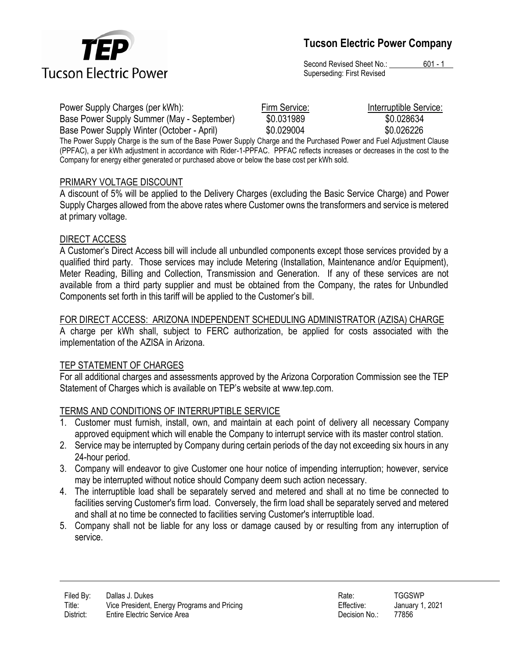

Second Revised Sheet No.: 601 - 1 Superseding: First Revised

| Power Supply Charges (per kWh):                                                                                       | Firm Service: | Interruptible Service: |
|-----------------------------------------------------------------------------------------------------------------------|---------------|------------------------|
| Base Power Supply Summer (May - September)                                                                            | \$0.031989    | \$0.028634             |
| Base Power Supply Winter (October - April)                                                                            | \$0.029004    | \$0.026226             |
| The Power Supply Charge is the sum of the Base Power Supply Charge and the Purchased Power and Fuel Adjustment Clause |               |                        |

The Power Supply Charge is the sum of the Base Power Supply Charge and the Purchased Power and Fuel Adjustment Clause (PPFAC), a per kWh adjustment in accordance with Rider-1-PPFAC. PPFAC reflects increases or decreases in the cost to the Company for energy either generated or purchased above or below the base cost per kWh sold.

#### PRIMARY VOLTAGE DISCOUNT

A discount of 5% will be applied to the Delivery Charges (excluding the Basic Service Charge) and Power Supply Charges allowed from the above rates where Customer owns the transformers and service is metered at primary voltage.

### DIRECT ACCESS

A Customer's Direct Access bill will include all unbundled components except those services provided by a qualified third party. Those services may include Metering (Installation, Maintenance and/or Equipment), Meter Reading, Billing and Collection, Transmission and Generation. If any of these services are not available from a third party supplier and must be obtained from the Company, the rates for Unbundled Components set forth in this tariff will be applied to the Customer's bill.

### FOR DIRECT ACCESS: ARIZONA INDEPENDENT SCHEDULING ADMINISTRATOR (AZISA) CHARGE

A charge per kWh shall, subject to FERC authorization, be applied for costs associated with the implementation of the AZISA in Arizona.

# TEP STATEMENT OF CHARGES

For all additional charges and assessments approved by the Arizona Corporation Commission see the TEP Statement of Charges which is available on TEP's website at www.tep.com.

# TERMS AND CONDITIONS OF INTERRUPTIBLE SERVICE

- 1. Customer must furnish, install, own, and maintain at each point of delivery all necessary Company approved equipment which will enable the Company to interrupt service with its master control station.
- 2. Service may be interrupted by Company during certain periods of the day not exceeding six hours in any 24-hour period.
- 3. Company will endeavor to give Customer one hour notice of impending interruption; however, service may be interrupted without notice should Company deem such action necessary.
- 4. The interruptible load shall be separately served and metered and shall at no time be connected to facilities serving Customer's firm load. Conversely, the firm load shall be separately served and metered and shall at no time be connected to facilities serving Customer's interruptible load.
- 5. Company shall not be liable for any loss or damage caused by or resulting from any interruption of service.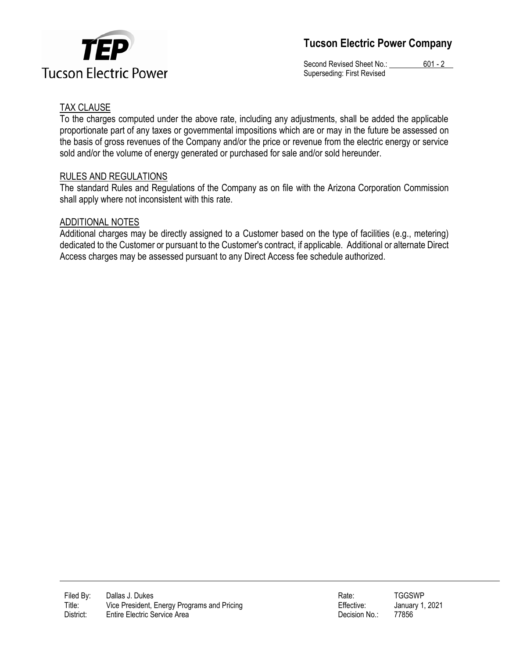



Second Revised Sheet No.: 601 - 2 Superseding: First Revised

## TAX CLAUSE

To the charges computed under the above rate, including any adjustments, shall be added the applicable proportionate part of any taxes or governmental impositions which are or may in the future be assessed on the basis of gross revenues of the Company and/or the price or revenue from the electric energy or service sold and/or the volume of energy generated or purchased for sale and/or sold hereunder.

#### RULES AND REGULATIONS

The standard Rules and Regulations of the Company as on file with the Arizona Corporation Commission shall apply where not inconsistent with this rate.

### ADDITIONAL NOTES

Additional charges may be directly assigned to a Customer based on the type of facilities (e.g., metering) dedicated to the Customer or pursuant to the Customer's contract, if applicable. Additional or alternate Direct Access charges may be assessed pursuant to any Direct Access fee schedule authorized.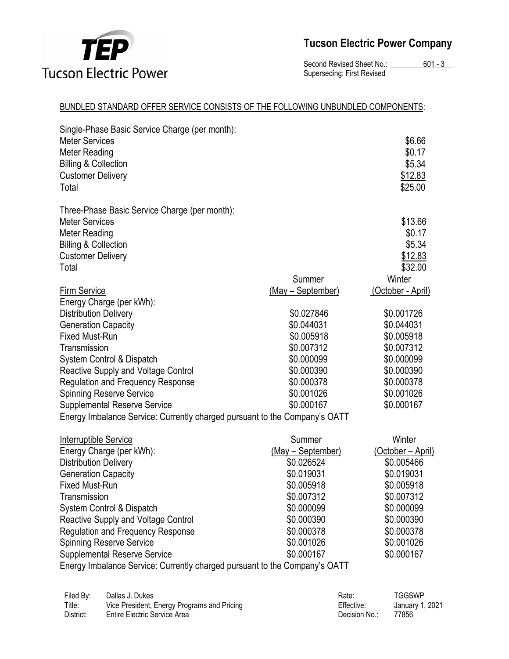

# **Tucson Electric Power Company**

Second Revised Sheet No.: 601 - 3 Superseding: First Revised

#### BUNDLED STANDARD OFFER SERVICE CONSISTS OF THE FOLLOWING UNBUNDLED COMPONENTS:

| Single-Phase Basic Service Charge (per month):<br><b>Meter Services</b><br><b>Meter Reading</b><br><b>Billing &amp; Collection</b><br><b>Customer Delivery</b><br>Total |                   | \$6.66<br>\$0.17<br>\$5.34<br>\$12.83<br>\$25.00            |
|-------------------------------------------------------------------------------------------------------------------------------------------------------------------------|-------------------|-------------------------------------------------------------|
| Three-Phase Basic Service Charge (per month):<br><b>Meter Services</b><br><b>Meter Reading</b><br><b>Billing &amp; Collection</b><br><b>Customer Delivery</b><br>Total  | Summer            | \$13.66<br>\$0.17<br>\$5.34<br>\$12.83<br>\$32.00<br>Winter |
| <b>Firm Service</b>                                                                                                                                                     | (May - September) | <u>(October - April)</u>                                    |
| Energy Charge (per kWh):                                                                                                                                                | \$0.027846        | \$0.001726                                                  |
| <b>Distribution Delivery</b><br><b>Generation Capacity</b>                                                                                                              | \$0.044031        | \$0.044031                                                  |
| <b>Fixed Must-Run</b>                                                                                                                                                   | \$0.005918        | \$0.005918                                                  |
| Transmission                                                                                                                                                            | \$0.007312        | \$0.007312                                                  |
| System Control & Dispatch                                                                                                                                               | \$0.000099        | \$0.000099                                                  |
| Reactive Supply and Voltage Control                                                                                                                                     | \$0.000390        | \$0.000390                                                  |
| <b>Regulation and Frequency Response</b>                                                                                                                                | \$0.000378        | \$0.000378                                                  |
| <b>Spinning Reserve Service</b>                                                                                                                                         | \$0.001026        | \$0.001026                                                  |
| <b>Supplemental Reserve Service</b>                                                                                                                                     | \$0.000167        | \$0.000167                                                  |
| Energy Imbalance Service: Currently charged pursuant to the Company's OATT                                                                                              |                   |                                                             |
| <u>Interruptible Service</u>                                                                                                                                            | Summer            | Winter                                                      |
| Energy Charge (per kWh):                                                                                                                                                | (May - September) | <u>(October – April)</u>                                    |
| <b>Distribution Delivery</b>                                                                                                                                            | \$0.026524        | \$0.005466                                                  |
| <b>Generation Capacity</b>                                                                                                                                              | \$0.019031        | \$0.019031                                                  |
| <b>Fixed Must-Run</b>                                                                                                                                                   | \$0.005918        | \$0.005918                                                  |
| Transmission                                                                                                                                                            | \$0.007312        | \$0.007312                                                  |
| System Control & Dispatch                                                                                                                                               | \$0.000099        | \$0.000099                                                  |
| Reactive Supply and Voltage Control                                                                                                                                     | \$0.000390        | \$0.000390                                                  |
| Regulation and Frequency Response                                                                                                                                       | \$0.000378        | \$0.000378                                                  |
| <b>Spinning Reserve Service</b>                                                                                                                                         | \$0.001026        | \$0.001026                                                  |
| <b>Supplemental Reserve Service</b>                                                                                                                                     | \$0.000167        | \$0.000167                                                  |
| Energy Imbalance Service: Currently charged pursuant to the Company's OATT                                                                                              |                   |                                                             |
|                                                                                                                                                                         |                   |                                                             |